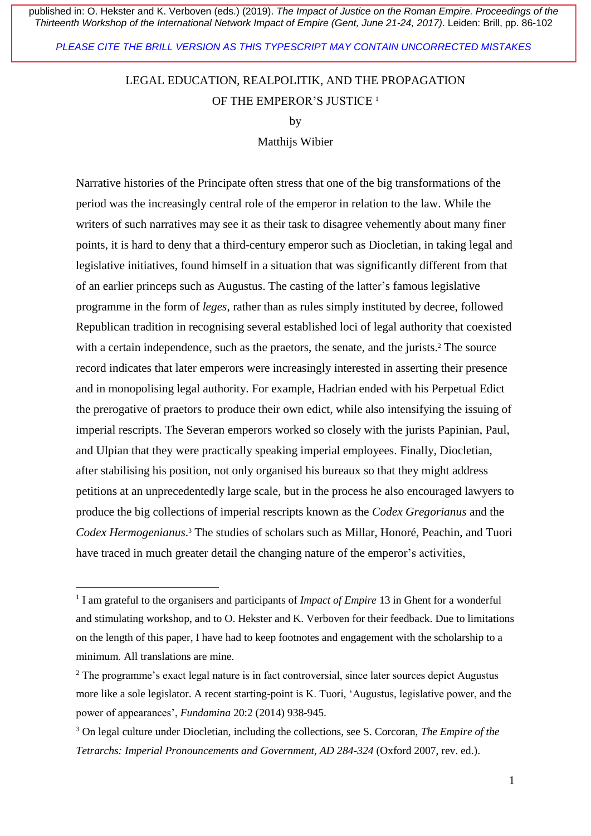published in: O. Hekster and K. Verboven (eds.) (2019). The Impact of Justice on the Roman Empire. Proceedings of the Thirteenth Workshop of the International Network Impact of Empire (Gent, June 21-24, 2017). Leiden: Brill, pp. 86-102

PLEASE CITE THE BRILL VERSION AS THIS TYPESCRIPT MAY CONTAIN UNCORRECTED MISTAKES

# LEGAL EDUCATION, REALPOLITIK, AND THE PROPAGATION OF THE EMPEROR'S JUSTICE<sup>1</sup>

by

Matthijs Wibier

Narrative histories of the Principate often stress that one of the big transformations of the period was the increasingly central role of the emperor in relation to the law. While the writers of such narratives may see it as their task to disagree vehemently about many finer points, it is hard to deny that a third-century emperor such as Diocletian, in taking legal and legislative initiatives, found himself in a situation that was significantly different from that of an earlier princeps such as Augustus. The casting of the latter's famous legislative programme in the form of *leges*, rather than as rules simply instituted by decree, followed Republican tradition in recognising several established loci of legal authority that coexisted with a certain independence, such as the praetors, the senate, and the jurists.<sup>2</sup> The source record indicates that later emperors were increasingly interested in asserting their presence and in monopolising legal authority. For example, Hadrian ended with his Perpetual Edict the prerogative of praetors to produce their own edict, while also intensifying the issuing of imperial rescripts. The Severan emperors worked so closely with the jurists Papinian, Paul, and Ulpian that they were practically speaking imperial employees. Finally, Diocletian, after stabilising his position, not only organised his bureaux so that they might address petitions at an unprecedentedly large scale, but in the process he also encouraged lawyers to produce the big collections of imperial rescripts known as the *Codex Gregorianus* and the *Codex Hermogenianus*. <sup>3</sup> The studies of scholars such as Millar, Honoré, Peachin, and Tuori have traced in much greater detail the changing nature of the emperor's activities,

<sup>&</sup>lt;sup>1</sup> I am grateful to the organisers and participants of *Impact of Empire* 13 in Ghent for a wonderful and stimulating workshop, and to O. Hekster and K. Verboven for their feedback. Due to limitations on the length of this paper, I have had to keep footnotes and engagement with the scholarship to a minimum. All translations are mine.

<sup>&</sup>lt;sup>2</sup> The programme's exact legal nature is in fact controversial, since later sources depict Augustus more like a sole legislator. A recent starting-point is K. Tuori, 'Augustus, legislative power, and the power of appearances', *Fundamina* 20:2 (2014) 938-945.

<sup>3</sup> On legal culture under Diocletian, including the collections, see S. Corcoran, *The Empire of the Tetrarchs: Imperial Pronouncements and Government, AD 284-324* (Oxford 2007, rev. ed.).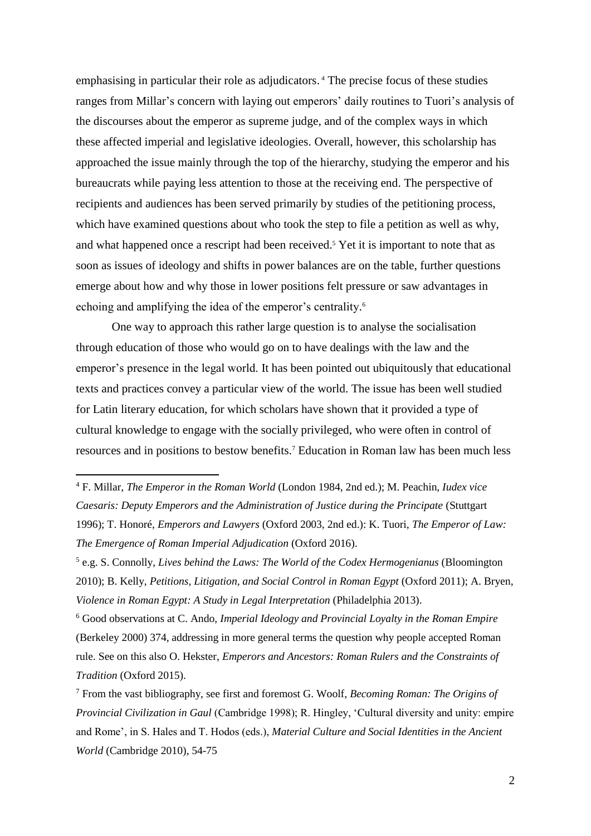emphasising in particular their role as adjudicators. <sup>4</sup> The precise focus of these studies ranges from Millar's concern with laying out emperors' daily routines to Tuori's analysis of the discourses about the emperor as supreme judge, and of the complex ways in which these affected imperial and legislative ideologies. Overall, however, this scholarship has approached the issue mainly through the top of the hierarchy, studying the emperor and his bureaucrats while paying less attention to those at the receiving end. The perspective of recipients and audiences has been served primarily by studies of the petitioning process, which have examined questions about who took the step to file a petition as well as why, and what happened once a rescript had been received. <sup>5</sup> Yet it is important to note that as soon as issues of ideology and shifts in power balances are on the table, further questions emerge about how and why those in lower positions felt pressure or saw advantages in echoing and amplifying the idea of the emperor's centrality.<sup>6</sup>

One way to approach this rather large question is to analyse the socialisation through education of those who would go on to have dealings with the law and the emperor's presence in the legal world. It has been pointed out ubiquitously that educational texts and practices convey a particular view of the world. The issue has been well studied for Latin literary education, for which scholars have shown that it provided a type of cultural knowledge to engage with the socially privileged, who were often in control of resources and in positions to bestow benefits.<sup>7</sup> Education in Roman law has been much less

<sup>4</sup> F. Millar, *The Emperor in the Roman World* (London 1984, 2nd ed.); M. Peachin, *Iudex vice Caesaris: Deputy Emperors and the Administration of Justice during the Principate* (Stuttgart 1996); T. Honoré, *Emperors and Lawyers* (Oxford 2003, 2nd ed.): K. Tuori, *The Emperor of Law: The Emergence of Roman Imperial Adjudication* (Oxford 2016).

<sup>5</sup> e.g. S. Connolly, *Lives behind the Laws: The World of the Codex Hermogenianus* (Bloomington 2010); B. Kelly, *Petitions, Litigation, and Social Control in Roman Egypt* (Oxford 2011); A. Bryen, *Violence in Roman Egypt: A Study in Legal Interpretation* (Philadelphia 2013).

<sup>6</sup> Good observations at C. Ando, *Imperial Ideology and Provincial Loyalty in the Roman Empire* (Berkeley 2000) 374, addressing in more general terms the question why people accepted Roman rule. See on this also O. Hekster, *Emperors and Ancestors: Roman Rulers and the Constraints of Tradition* (Oxford 2015).

<sup>7</sup> From the vast bibliography, see first and foremost G. Woolf, *Becoming Roman: The Origins of Provincial Civilization in Gaul* (Cambridge 1998); R. Hingley, 'Cultural diversity and unity: empire and Rome', in S. Hales and T. Hodos (eds.), *Material Culture and Social Identities in the Ancient World* (Cambridge 2010), 54-75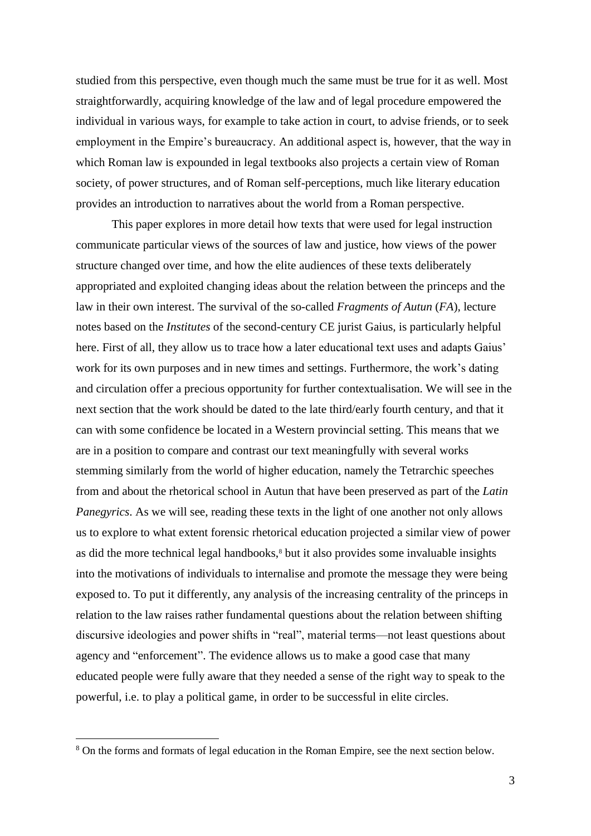studied from this perspective, even though much the same must be true for it as well. Most straightforwardly, acquiring knowledge of the law and of legal procedure empowered the individual in various ways, for example to take action in court, to advise friends, or to seek employment in the Empire's bureaucracy. An additional aspect is, however, that the way in which Roman law is expounded in legal textbooks also projects a certain view of Roman society, of power structures, and of Roman self-perceptions, much like literary education provides an introduction to narratives about the world from a Roman perspective.

This paper explores in more detail how texts that were used for legal instruction communicate particular views of the sources of law and justice, how views of the power structure changed over time, and how the elite audiences of these texts deliberately appropriated and exploited changing ideas about the relation between the princeps and the law in their own interest. The survival of the so-called *Fragments of Autun* (*FA*)*,* lecture notes based on the *Institutes* of the second-century CE jurist Gaius*,* is particularly helpful here. First of all, they allow us to trace how a later educational text uses and adapts Gaius' work for its own purposes and in new times and settings. Furthermore, the work's dating and circulation offer a precious opportunity for further contextualisation. We will see in the next section that the work should be dated to the late third/early fourth century, and that it can with some confidence be located in a Western provincial setting. This means that we are in a position to compare and contrast our text meaningfully with several works stemming similarly from the world of higher education, namely the Tetrarchic speeches from and about the rhetorical school in Autun that have been preserved as part of the *Latin Panegyrics*. As we will see, reading these texts in the light of one another not only allows us to explore to what extent forensic rhetorical education projected a similar view of power as did the more technical legal handbooks,<sup>8</sup> but it also provides some invaluable insights into the motivations of individuals to internalise and promote the message they were being exposed to. To put it differently, any analysis of the increasing centrality of the princeps in relation to the law raises rather fundamental questions about the relation between shifting discursive ideologies and power shifts in "real", material terms—not least questions about agency and "enforcement". The evidence allows us to make a good case that many educated people were fully aware that they needed a sense of the right way to speak to the powerful, i.e. to play a political game, in order to be successful in elite circles.

<sup>&</sup>lt;sup>8</sup> On the forms and formats of legal education in the Roman Empire, see the next section below.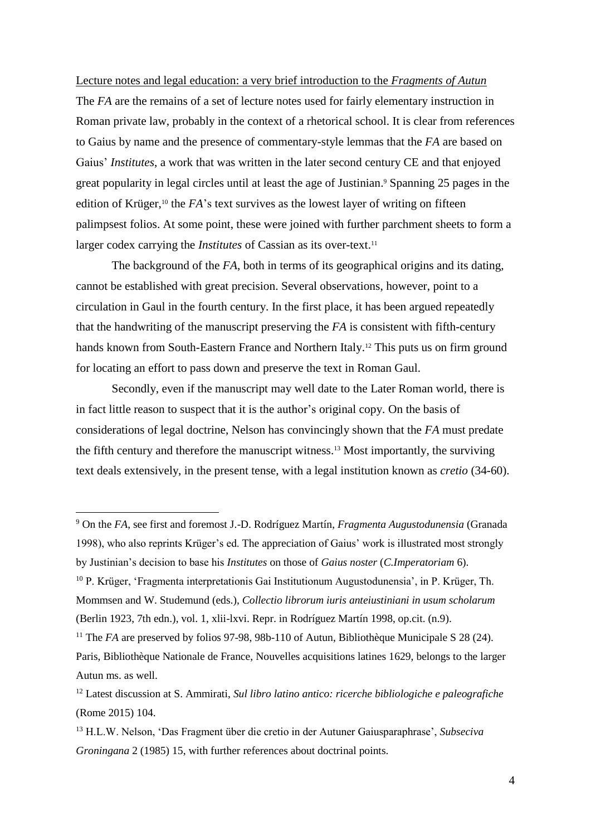#### Lecture notes and legal education: a very brief introduction to the *Fragments of Autun*

The *FA* are the remains of a set of lecture notes used for fairly elementary instruction in Roman private law, probably in the context of a rhetorical school. It is clear from references to Gaius by name and the presence of commentary-style lemmas that the *FA* are based on Gaius' *Institutes*, a work that was written in the later second century CE and that enjoyed great popularity in legal circles until at least the age of Justinian. <sup>9</sup> Spanning 25 pages in the edition of Krüger,<sup>10</sup> the *FA*'s text survives as the lowest layer of writing on fifteen palimpsest folios. At some point, these were joined with further parchment sheets to form a larger codex carrying the *Institutes* of Cassian as its over-text. 11

The background of the *FA*, both in terms of its geographical origins and its dating, cannot be established with great precision. Several observations, however, point to a circulation in Gaul in the fourth century. In the first place, it has been argued repeatedly that the handwriting of the manuscript preserving the *FA* is consistent with fifth-century hands known from South-Eastern France and Northern Italy.<sup>12</sup> This puts us on firm ground for locating an effort to pass down and preserve the text in Roman Gaul.

Secondly, even if the manuscript may well date to the Later Roman world, there is in fact little reason to suspect that it is the author's original copy. On the basis of considerations of legal doctrine, Nelson has convincingly shown that the *FA* must predate the fifth century and therefore the manuscript witness.<sup>13</sup> Most importantly, the surviving text deals extensively, in the present tense, with a legal institution known as *cretio* (34-60).

<sup>9</sup> On the *FA*, see first and foremost J.-D. Rodríguez Martín, *Fragmenta Augustodunensia* (Granada 1998), who also reprints Krüger's ed. The appreciation of Gaius' work is illustrated most strongly by Justinian's decision to base his *Institutes* on those of *Gaius noster* (*C.Imperatoriam* 6).

<sup>10</sup> P. Krüger, 'Fragmenta interpretationis Gai Institutionum Augustodunensia', in P. Krüger, Th. Mommsen and W. Studemund (eds.), *Collectio librorum iuris anteiustiniani in usum scholarum* (Berlin 1923, 7th edn.), vol. 1, xlii-lxvi. Repr. in Rodríguez Martín 1998, op.cit. (n.9).

<sup>&</sup>lt;sup>11</sup> The *FA* are preserved by folios 97-98, 98b-110 of Autun, Bibliothèque Municipale S 28 (24). Paris, Bibliothèque Nationale de France, Nouvelles acquisitions latines 1629, belongs to the larger Autun ms. as well.

<sup>12</sup> Latest discussion at S. Ammirati, *Sul libro latino antico: ricerche bibliologiche e paleografiche* (Rome 2015) 104.

<sup>13</sup> H.L.W. Nelson, 'Das Fragment über die cretio in der Autuner Gaiusparaphrase', *Subseciva Groningana* 2 (1985) 15, with further references about doctrinal points.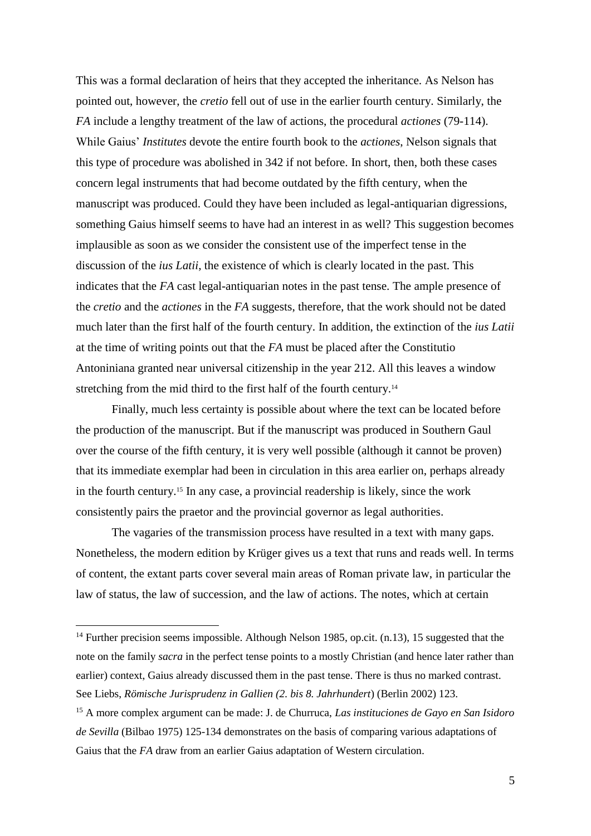This was a formal declaration of heirs that they accepted the inheritance. As Nelson has pointed out, however, the *cretio* fell out of use in the earlier fourth century. Similarly, the *FA* include a lengthy treatment of the law of actions, the procedural *actiones* (79-114). While Gaius' *Institutes* devote the entire fourth book to the *actiones*, Nelson signals that this type of procedure was abolished in 342 if not before. In short, then, both these cases concern legal instruments that had become outdated by the fifth century, when the manuscript was produced. Could they have been included as legal-antiquarian digressions, something Gaius himself seems to have had an interest in as well? This suggestion becomes implausible as soon as we consider the consistent use of the imperfect tense in the discussion of the *ius Latii*, the existence of which is clearly located in the past. This indicates that the *FA* cast legal-antiquarian notes in the past tense. The ample presence of the *cretio* and the *actiones* in the *FA* suggests, therefore, that the work should not be dated much later than the first half of the fourth century. In addition, the extinction of the *ius Latii* at the time of writing points out that the *FA* must be placed after the Constitutio Antoniniana granted near universal citizenship in the year 212. All this leaves a window stretching from the mid third to the first half of the fourth century.<sup>14</sup>

Finally, much less certainty is possible about where the text can be located before the production of the manuscript. But if the manuscript was produced in Southern Gaul over the course of the fifth century, it is very well possible (although it cannot be proven) that its immediate exemplar had been in circulation in this area earlier on, perhaps already in the fourth century.<sup>15</sup> In any case, a provincial readership is likely, since the work consistently pairs the praetor and the provincial governor as legal authorities.

The vagaries of the transmission process have resulted in a text with many gaps. Nonetheless, the modern edition by Krüger gives us a text that runs and reads well. In terms of content, the extant parts cover several main areas of Roman private law, in particular the law of status, the law of succession, and the law of actions. The notes, which at certain

<sup>&</sup>lt;sup>14</sup> Further precision seems impossible. Although Nelson 1985, op.cit.  $(n, 13)$ , 15 suggested that the note on the family *sacra* in the perfect tense points to a mostly Christian (and hence later rather than earlier) context, Gaius already discussed them in the past tense. There is thus no marked contrast. See Liebs, *Römische Jurisprudenz in Gallien (2. bis 8. Jahrhundert*) (Berlin 2002) 123.

<sup>15</sup> A more complex argument can be made: J. de Churruca, *Las instituciones de Gayo en San Isidoro de Sevilla* (Bilbao 1975) 125-134 demonstrates on the basis of comparing various adaptations of Gaius that the *FA* draw from an earlier Gaius adaptation of Western circulation.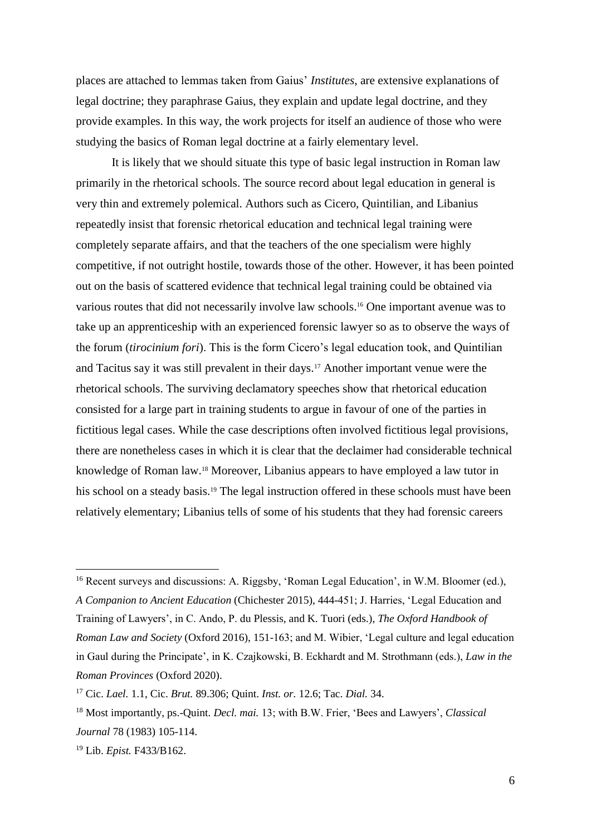places are attached to lemmas taken from Gaius' *Institutes*, are extensive explanations of legal doctrine; they paraphrase Gaius, they explain and update legal doctrine, and they provide examples. In this way, the work projects for itself an audience of those who were studying the basics of Roman legal doctrine at a fairly elementary level.

It is likely that we should situate this type of basic legal instruction in Roman law primarily in the rhetorical schools. The source record about legal education in general is very thin and extremely polemical. Authors such as Cicero, Quintilian, and Libanius repeatedly insist that forensic rhetorical education and technical legal training were completely separate affairs, and that the teachers of the one specialism were highly competitive, if not outright hostile, towards those of the other. However, it has been pointed out on the basis of scattered evidence that technical legal training could be obtained via various routes that did not necessarily involve law schools. <sup>16</sup> One important avenue was to take up an apprenticeship with an experienced forensic lawyer so as to observe the ways of the forum (*tirocinium fori*). This is the form Cicero's legal education took, and Quintilian and Tacitus say it was still prevalent in their days.<sup>17</sup> Another important venue were the rhetorical schools. The surviving declamatory speeches show that rhetorical education consisted for a large part in training students to argue in favour of one of the parties in fictitious legal cases. While the case descriptions often involved fictitious legal provisions, there are nonetheless cases in which it is clear that the declaimer had considerable technical knowledge of Roman law. <sup>18</sup> Moreover, Libanius appears to have employed a law tutor in his school on a steady basis.<sup>19</sup> The legal instruction offered in these schools must have been relatively elementary; Libanius tells of some of his students that they had forensic careers

<sup>&</sup>lt;sup>16</sup> Recent surveys and discussions: A. Riggsby, 'Roman Legal Education', in W.M. Bloomer (ed.), *A Companion to Ancient Education* (Chichester 2015), 444-451; J. Harries, 'Legal Education and Training of Lawyers', in C. Ando, P. du Plessis, and K. Tuori (eds.), *The Oxford Handbook of Roman Law and Society* (Oxford 2016), 151-163; and M. Wibier, 'Legal culture and legal education in Gaul during the Principate', in K. Czajkowski, B. Eckhardt and M. Strothmann (eds.), *Law in the Roman Provinces* (Oxford 2020).

<sup>17</sup> Cic. *Lael.* 1.1, Cic. *Brut.* 89.306; Quint. *Inst. or.* 12.6; Tac. *Dial.* 34.

<sup>18</sup> Most importantly, ps.-Quint. *Decl. mai.* 13; with B.W. Frier, 'Bees and Lawyers', *Classical Journal* 78 (1983) 105-114.

<sup>19</sup> Lib. *Epist.* F433/B162.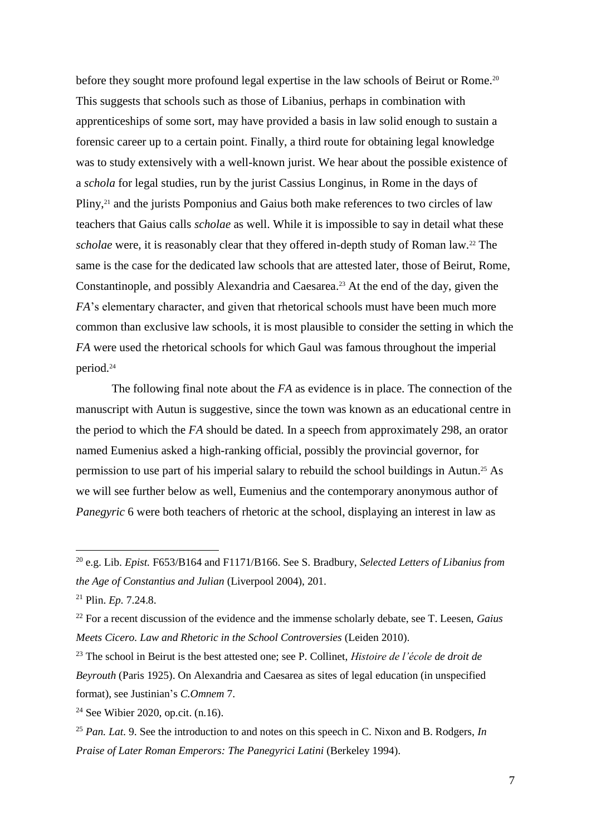before they sought more profound legal expertise in the law schools of Beirut or Rome.<sup>20</sup> This suggests that schools such as those of Libanius, perhaps in combination with apprenticeships of some sort, may have provided a basis in law solid enough to sustain a forensic career up to a certain point. Finally, a third route for obtaining legal knowledge was to study extensively with a well-known jurist. We hear about the possible existence of a *schola* for legal studies, run by the jurist Cassius Longinus, in Rome in the days of Pliny,<sup>21</sup> and the jurists Pomponius and Gaius both make references to two circles of law teachers that Gaius calls *scholae* as well. While it is impossible to say in detail what these *scholae* were, it is reasonably clear that they offered in-depth study of Roman law.<sup>22</sup> The same is the case for the dedicated law schools that are attested later, those of Beirut, Rome, Constantinople, and possibly Alexandria and Caesarea. <sup>23</sup> At the end of the day, given the *FA*'s elementary character, and given that rhetorical schools must have been much more common than exclusive law schools, it is most plausible to consider the setting in which the *FA* were used the rhetorical schools for which Gaul was famous throughout the imperial period. 24

The following final note about the *FA* as evidence is in place. The connection of the manuscript with Autun is suggestive, since the town was known as an educational centre in the period to which the *FA* should be dated. In a speech from approximately 298, an orator named Eumenius asked a high-ranking official, possibly the provincial governor, for permission to use part of his imperial salary to rebuild the school buildings in Autun. <sup>25</sup> As we will see further below as well, Eumenius and the contemporary anonymous author of *Panegyric* 6 were both teachers of rhetoric at the school, displaying an interest in law as

<sup>20</sup> e.g. Lib. *Epist.* F653/B164 and F1171/B166. See S. Bradbury, *Selected Letters of Libanius from the Age of Constantius and Julian* (Liverpool 2004), 201.

<sup>21</sup> Plin. *Ep.* 7.24.8.

<sup>22</sup> For a recent discussion of the evidence and the immense scholarly debate, see T. Leesen, *Gaius Meets Cicero. Law and Rhetoric in the School Controversies* (Leiden 2010).

<sup>23</sup> The school in Beirut is the best attested one; see P. Collinet, *Histoire de l'école de droit de Beyrouth* (Paris 1925). On Alexandria and Caesarea as sites of legal education (in unspecified format), see Justinian's *C.Omnem* 7.

<sup>&</sup>lt;sup>24</sup> See Wibier 2020, op.cit.  $(n.16)$ .

<sup>25</sup> *Pan. Lat.* 9. See the introduction to and notes on this speech in C. Nixon and B. Rodgers, *In Praise of Later Roman Emperors: The Panegyrici Latini* (Berkeley 1994).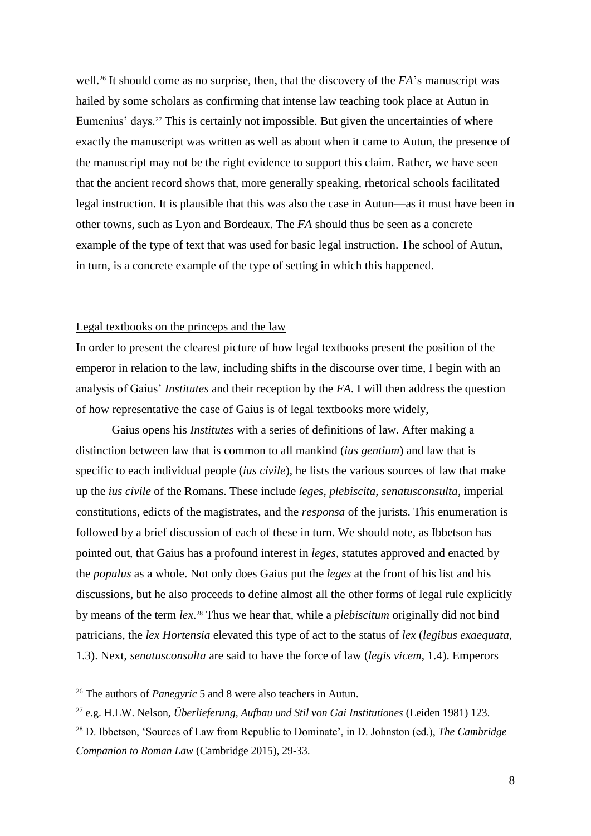well.<sup>26</sup> It should come as no surprise, then, that the discovery of the *FA*'s manuscript was hailed by some scholars as confirming that intense law teaching took place at Autun in Eumenius' days.<sup>27</sup> This is certainly not impossible. But given the uncertainties of where exactly the manuscript was written as well as about when it came to Autun, the presence of the manuscript may not be the right evidence to support this claim. Rather, we have seen that the ancient record shows that, more generally speaking, rhetorical schools facilitated legal instruction. It is plausible that this was also the case in Autun—as it must have been in other towns, such as Lyon and Bordeaux. The *FA* should thus be seen as a concrete example of the type of text that was used for basic legal instruction. The school of Autun, in turn, is a concrete example of the type of setting in which this happened.

#### Legal textbooks on the princeps and the law

In order to present the clearest picture of how legal textbooks present the position of the emperor in relation to the law, including shifts in the discourse over time, I begin with an analysis of Gaius' *Institutes* and their reception by the *FA*. I will then address the question of how representative the case of Gaius is of legal textbooks more widely,

Gaius opens his *Institutes* with a series of definitions of law. After making a distinction between law that is common to all mankind (*ius gentium*) and law that is specific to each individual people (*ius civile*), he lists the various sources of law that make up the *ius civile* of the Romans. These include *leges*, *plebiscita*, *senatusconsulta*, imperial constitutions, edicts of the magistrates, and the *responsa* of the jurists. This enumeration is followed by a brief discussion of each of these in turn. We should note, as Ibbetson has pointed out, that Gaius has a profound interest in *leges*, statutes approved and enacted by the *populus* as a whole. Not only does Gaius put the *leges* at the front of his list and his discussions, but he also proceeds to define almost all the other forms of legal rule explicitly by means of the term *lex*. <sup>28</sup> Thus we hear that, while a *plebiscitum* originally did not bind patricians, the *lex Hortensia* elevated this type of act to the status of *lex* (*legibus exaequata*, 1.3). Next, *senatusconsulta* are said to have the force of law (*legis vicem*, 1.4). Emperors

<sup>26</sup> The authors of *Panegyric* 5 and 8 were also teachers in Autun.

<sup>27</sup> e.g. H.LW. Nelson, *Überlieferung, Aufbau und Stil von Gai Institutiones* (Leiden 1981) 123.

<sup>28</sup> D. Ibbetson, 'Sources of Law from Republic to Dominate', in D. Johnston (ed.), *The Cambridge Companion to Roman Law* (Cambridge 2015), 29-33.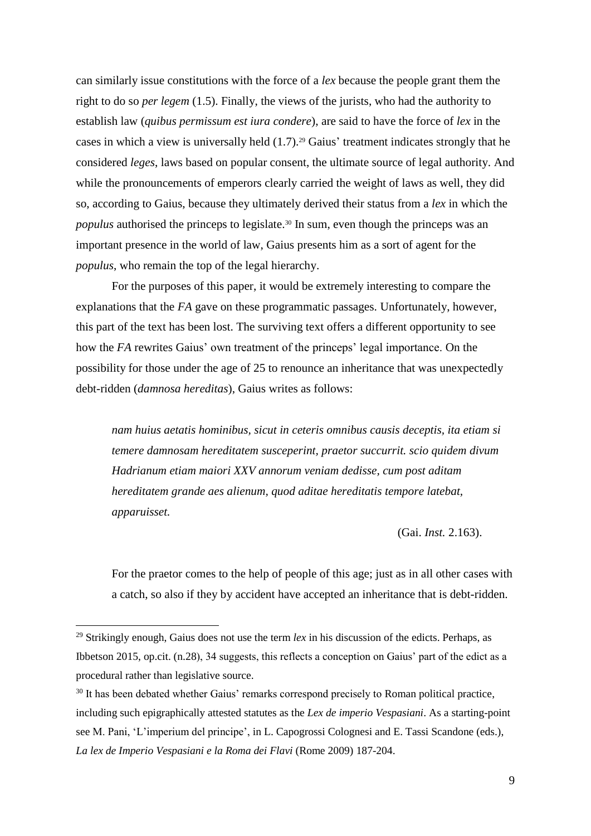can similarly issue constitutions with the force of a *lex* because the people grant them the right to do so *per legem* (1.5). Finally, the views of the jurists, who had the authority to establish law (*quibus permissum est iura condere*), are said to have the force of *lex* in the cases in which a view is universally held  $(1.7)$ .<sup>29</sup> Gaius' treatment indicates strongly that he considered *leges*, laws based on popular consent, the ultimate source of legal authority. And while the pronouncements of emperors clearly carried the weight of laws as well, they did so, according to Gaius, because they ultimately derived their status from a *lex* in which the *populus* authorised the princeps to legislate.<sup>30</sup> In sum, even though the princeps was an important presence in the world of law, Gaius presents him as a sort of agent for the *populus*, who remain the top of the legal hierarchy.

For the purposes of this paper, it would be extremely interesting to compare the explanations that the *FA* gave on these programmatic passages. Unfortunately, however, this part of the text has been lost. The surviving text offers a different opportunity to see how the *FA* rewrites Gaius' own treatment of the princeps' legal importance. On the possibility for those under the age of 25 to renounce an inheritance that was unexpectedly debt-ridden (*damnosa hereditas*), Gaius writes as follows:

*nam huius aetatis hominibus, sicut in ceteris omnibus causis deceptis, ita etiam si temere damnosam hereditatem susceperint, praetor succurrit. scio quidem divum Hadrianum etiam maiori XXV annorum veniam dedisse, cum post aditam hereditatem grande aes alienum, quod aditae hereditatis tempore latebat, apparuisset.*

(Gai. *Inst.* 2.163).

For the praetor comes to the help of people of this age; just as in all other cases with a catch, so also if they by accident have accepted an inheritance that is debt-ridden.

<sup>29</sup> Strikingly enough, Gaius does not use the term *lex* in his discussion of the edicts. Perhaps, as Ibbetson 2015, op.cit. (n.28), 34 suggests, this reflects a conception on Gaius' part of the edict as a procedural rather than legislative source.

<sup>&</sup>lt;sup>30</sup> It has been debated whether Gaius' remarks correspond precisely to Roman political practice, including such epigraphically attested statutes as the *Lex de imperio Vespasiani*. As a starting-point see M. Pani, 'L'imperium del principe', in L. Capogrossi Colognesi and E. Tassi Scandone (eds.), *La lex de Imperio Vespasiani e la Roma dei Flavi* (Rome 2009) 187-204.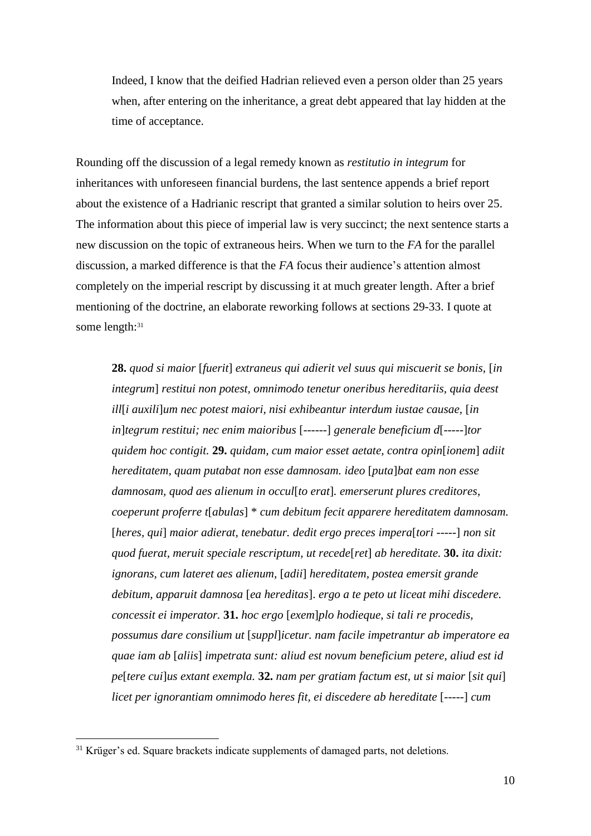Indeed, I know that the deified Hadrian relieved even a person older than 25 years when, after entering on the inheritance, a great debt appeared that lay hidden at the time of acceptance.

Rounding off the discussion of a legal remedy known as *restitutio in integrum* for inheritances with unforeseen financial burdens, the last sentence appends a brief report about the existence of a Hadrianic rescript that granted a similar solution to heirs over 25. The information about this piece of imperial law is very succinct; the next sentence starts a new discussion on the topic of extraneous heirs. When we turn to the *FA* for the parallel discussion, a marked difference is that the *FA* focus their audience's attention almost completely on the imperial rescript by discussing it at much greater length. After a brief mentioning of the doctrine, an elaborate reworking follows at sections 29-33. I quote at some length: 31

**28.** *quod si maior* [*fuerit*] *extraneus qui adierit vel suus qui miscuerit se bonis,* [*in integrum*] *restitui non potest, omnimodo tenetur oneribus hereditariis, quia deest ill*[*i auxili*]*um nec potest maiori, nisi exhibeantur interdum iustae causae,* [*in in*]*tegrum restitui; nec enim maioribus* [------] *generale beneficium d*[-----]*tor quidem hoc contigit.* **29.** *quidam, cum maior esset aetate, contra opin*[*ionem*] *adiit hereditatem, quam putabat non esse damnosam. ideo* [*puta*]*bat eam non esse damnosam, quod aes alienum in occul*[*to erat*]*. emerserunt plures creditores, coeperunt proferre t*[*abulas*] \* *cum debitum fecit apparere hereditatem damnosam.* [*heres, qui*] *maior adierat, tenebatur. dedit ergo preces impera*[*tori -----*] *non sit quod fuerat, meruit speciale rescriptum, ut recede*[*ret*] *ab hereditate.* **30.** *ita dixit: ignorans, cum lateret aes alienum,* [*adii*] *hereditatem, postea emersit grande debitum, apparuit damnosa* [*ea hereditas*]. *ergo a te peto ut liceat mihi discedere. concessit ei imperator.* **31.** *hoc ergo* [*exem*]*plo hodieque, si tali re procedis, possumus dare consilium ut* [*suppl*]*icetur. nam facile impetrantur ab imperatore ea quae iam ab* [*aliis*] *impetrata sunt: aliud est novum beneficium petere, aliud est id pe*[*tere cui*]*us extant exempla.* **32.** *nam per gratiam factum est, ut si maior* [*sit qui*] *licet per ignorantiam omnimodo heres fit, ei discedere ab hereditate* [*-----*] *cum* 

<sup>&</sup>lt;sup>31</sup> Krüger's ed. Square brackets indicate supplements of damaged parts, not deletions.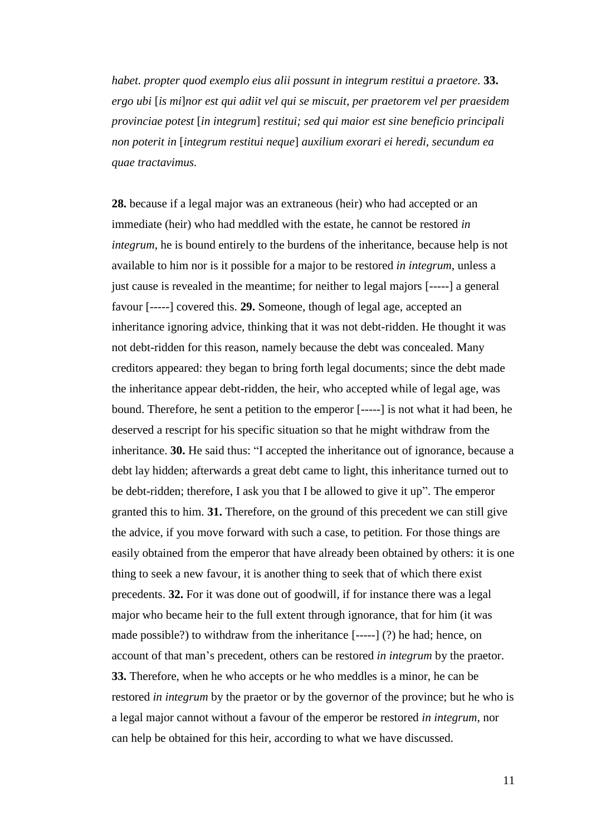*habet. propter quod exemplo eius alii possunt in integrum restitui a praetore.* **33.** *ergo ubi* [*is mi*]*nor est qui adiit vel qui se miscuit, per praetorem vel per praesidem provinciae potest* [*in integrum*] *restitui; sed qui maior est sine beneficio principali non poterit in* [*integrum restitui neque*] *auxilium exorari ei heredi, secundum ea quae tractavimus.*

**28.** because if a legal major was an extraneous (heir) who had accepted or an immediate (heir) who had meddled with the estate, he cannot be restored *in integrum*, he is bound entirely to the burdens of the inheritance, because help is not available to him nor is it possible for a major to be restored *in integrum*, unless a just cause is revealed in the meantime; for neither to legal majors [-----] a general favour [-----] covered this. **29.** Someone, though of legal age, accepted an inheritance ignoring advice, thinking that it was not debt-ridden. He thought it was not debt-ridden for this reason, namely because the debt was concealed. Many creditors appeared: they began to bring forth legal documents; since the debt made the inheritance appear debt-ridden, the heir, who accepted while of legal age, was bound. Therefore, he sent a petition to the emperor [-----] is not what it had been, he deserved a rescript for his specific situation so that he might withdraw from the inheritance. **30.** He said thus: "I accepted the inheritance out of ignorance, because a debt lay hidden; afterwards a great debt came to light, this inheritance turned out to be debt-ridden; therefore, I ask you that I be allowed to give it up". The emperor granted this to him. **31.** Therefore, on the ground of this precedent we can still give the advice, if you move forward with such a case, to petition. For those things are easily obtained from the emperor that have already been obtained by others: it is one thing to seek a new favour, it is another thing to seek that of which there exist precedents. **32.** For it was done out of goodwill, if for instance there was a legal major who became heir to the full extent through ignorance, that for him (it was made possible?) to withdraw from the inheritance [-----] (?) he had; hence, on account of that man's precedent, others can be restored *in integrum* by the praetor. **33.** Therefore, when he who accepts or he who meddles is a minor, he can be restored *in integrum* by the praetor or by the governor of the province; but he who is a legal major cannot without a favour of the emperor be restored *in integrum*, nor can help be obtained for this heir, according to what we have discussed.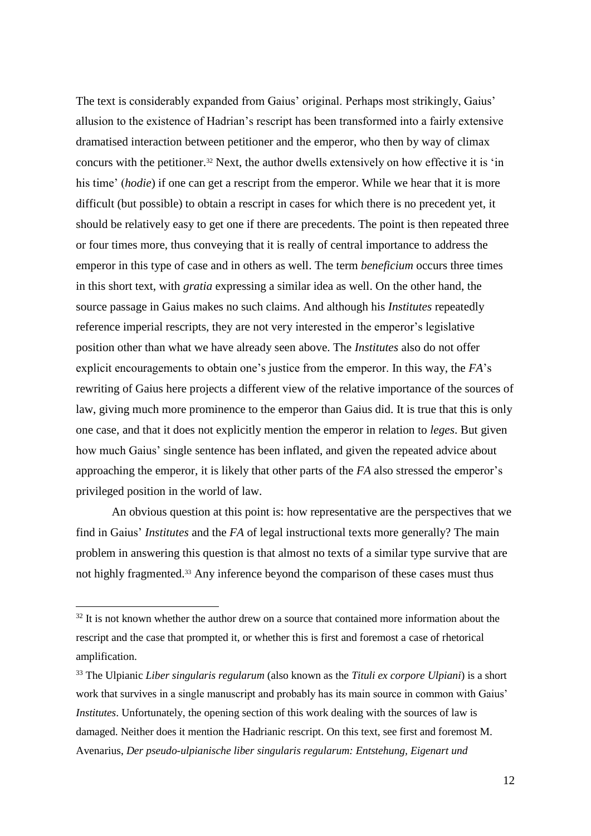The text is considerably expanded from Gaius' original. Perhaps most strikingly, Gaius' allusion to the existence of Hadrian's rescript has been transformed into a fairly extensive dramatised interaction between petitioner and the emperor, who then by way of climax concurs with the petitioner.<sup>32</sup> Next, the author dwells extensively on how effective it is 'in his time' *(hodie)* if one can get a rescript from the emperor. While we hear that it is more difficult (but possible) to obtain a rescript in cases for which there is no precedent yet, it should be relatively easy to get one if there are precedents. The point is then repeated three or four times more, thus conveying that it is really of central importance to address the emperor in this type of case and in others as well. The term *beneficium* occurs three times in this short text, with *gratia* expressing a similar idea as well. On the other hand, the source passage in Gaius makes no such claims. And although his *Institutes* repeatedly reference imperial rescripts, they are not very interested in the emperor's legislative position other than what we have already seen above. The *Institutes* also do not offer explicit encouragements to obtain one's justice from the emperor. In this way, the *FA*'s rewriting of Gaius here projects a different view of the relative importance of the sources of law, giving much more prominence to the emperor than Gaius did. It is true that this is only one case, and that it does not explicitly mention the emperor in relation to *leges*. But given how much Gaius' single sentence has been inflated, and given the repeated advice about approaching the emperor, it is likely that other parts of the *FA* also stressed the emperor's privileged position in the world of law.

An obvious question at this point is: how representative are the perspectives that we find in Gaius' *Institutes* and the *FA* of legal instructional texts more generally? The main problem in answering this question is that almost no texts of a similar type survive that are not highly fragmented. <sup>33</sup> Any inference beyond the comparison of these cases must thus

<sup>&</sup>lt;sup>32</sup> It is not known whether the author drew on a source that contained more information about the rescript and the case that prompted it, or whether this is first and foremost a case of rhetorical amplification.

<sup>33</sup> The Ulpianic *Liber singularis regularum* (also known as the *Tituli ex corpore Ulpiani*) is a short work that survives in a single manuscript and probably has its main source in common with Gaius' *Institutes*. Unfortunately, the opening section of this work dealing with the sources of law is damaged. Neither does it mention the Hadrianic rescript. On this text, see first and foremost M. Avenarius, *Der pseudo-ulpianische liber singularis regularum: Entstehung, Eigenart und*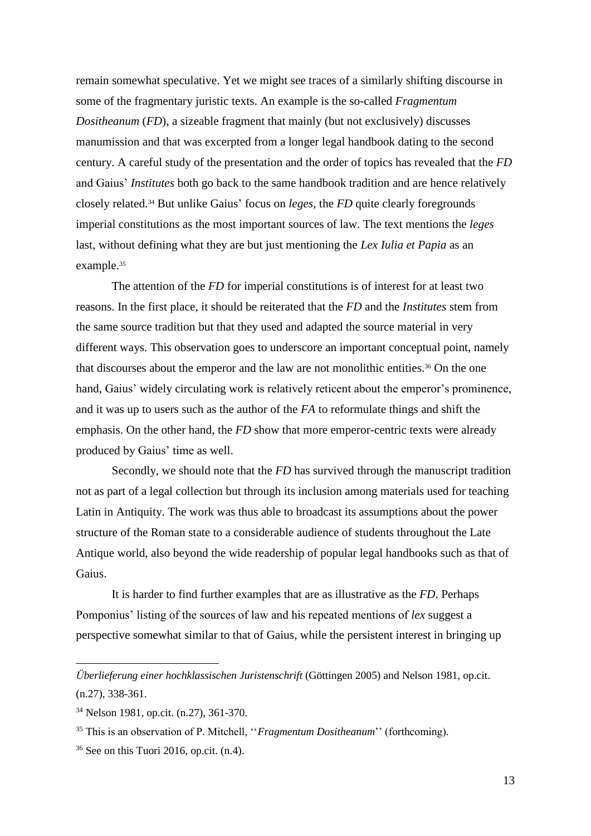remain somewhat speculative. Yet we might see traces of a similarly shifting discourse in some of the fragmentary juristic texts. An example is the so-called *Fragmentum Dositheanum* (*FD*), a sizeable fragment that mainly (but not exclusively) discusses manumission and that was excerpted from a longer legal handbook dating to the second century. A careful study of the presentation and the order of topics has revealed that the *FD* and Gaius' *Institutes* both go back to the same handbook tradition and are hence relatively closely related. <sup>34</sup> But unlike Gaius' focus on *leges*, the *FD* quite clearly foregrounds imperial constitutions as the most important sources of law. The text mentions the *leges*  last, without defining what they are but just mentioning the *Lex Iulia et Papia* as an example.<sup>35</sup>

The attention of the *FD* for imperial constitutions is of interest for at least two reasons. In the first place, it should be reiterated that the *FD* and the *Institutes* stem from the same source tradition but that they used and adapted the source material in very different ways. This observation goes to underscore an important conceptual point, namely that discourses about the emperor and the law are not monolithic entities. <sup>36</sup> On the one hand, Gaius' widely circulating work is relatively reticent about the emperor's prominence, and it was up to users such as the author of the *FA* to reformulate things and shift the emphasis. On the other hand, the *FD* show that more emperor-centric texts were already produced by Gaius' time as well.

Secondly, we should note that the *FD* has survived through the manuscript tradition not as part of a legal collection but through its inclusion among materials used for teaching Latin in Antiquity. The work was thus able to broadcast its assumptions about the power structure of the Roman state to a considerable audience of students throughout the Late Antique world, also beyond the wide readership of popular legal handbooks such as that of Gaius.

It is harder to find further examples that are as illustrative as the *FD*. Perhaps Pomponius' listing of the sources of law and his repeated mentions of *lex* suggest a perspective somewhat similar to that of Gaius, while the persistent interest in bringing up

*Überlieferung einer hochklassischen Juristenschrift* (Göttingen 2005) and Nelson 1981, op.cit. (n.27), 338-361.

<sup>34</sup> Nelson 1981, op.cit. (n.27), 361-370.

<sup>35</sup> This is an observation of P. Mitchell, ''*Fragmentum Dositheanum*'' (forthcoming).

 $36$  See on this Tuori 2016, op.cit. (n.4).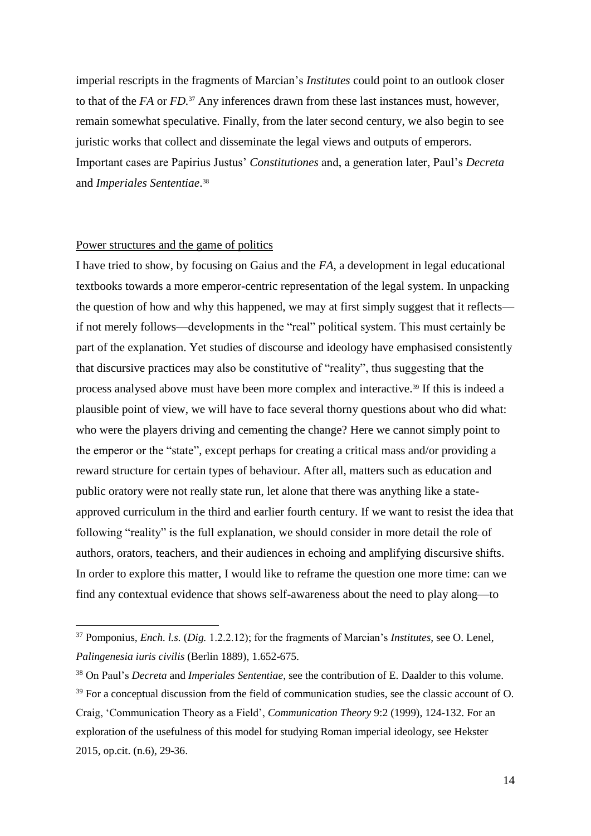imperial rescripts in the fragments of Marcian's *Institutes* could point to an outlook closer to that of the *FA* or *FD.*<sup>37</sup> Any inferences drawn from these last instances must, however, remain somewhat speculative. Finally, from the later second century, we also begin to see juristic works that collect and disseminate the legal views and outputs of emperors. Important cases are Papirius Justus' *Constitutiones* and, a generation later, Paul's *Decreta*  and *Imperiales Sententiae*. 38

## Power structures and the game of politics

 $\overline{a}$ 

I have tried to show, by focusing on Gaius and the *FA*, a development in legal educational textbooks towards a more emperor-centric representation of the legal system. In unpacking the question of how and why this happened, we may at first simply suggest that it reflects if not merely follows—developments in the "real" political system. This must certainly be part of the explanation. Yet studies of discourse and ideology have emphasised consistently that discursive practices may also be constitutive of "reality", thus suggesting that the process analysed above must have been more complex and interactive.<sup>39</sup> If this is indeed a plausible point of view, we will have to face several thorny questions about who did what: who were the players driving and cementing the change? Here we cannot simply point to the emperor or the "state", except perhaps for creating a critical mass and/or providing a reward structure for certain types of behaviour. After all, matters such as education and public oratory were not really state run, let alone that there was anything like a stateapproved curriculum in the third and earlier fourth century. If we want to resist the idea that following "reality" is the full explanation, we should consider in more detail the role of authors, orators, teachers, and their audiences in echoing and amplifying discursive shifts. In order to explore this matter, I would like to reframe the question one more time: can we find any contextual evidence that shows self-awareness about the need to play along—to

<sup>37</sup> Pomponius, *Ench. l.s.* (*Dig.* 1.2.2.12); for the fragments of Marcian's *Institutes*, see O. Lenel, *Palingenesia iuris civilis* (Berlin 1889), 1.652-675.

<sup>38</sup> On Paul's *Decreta* and *Imperiales Sententiae*, see the contribution of E. Daalder to this volume. <sup>39</sup> For a conceptual discussion from the field of communication studies, see the classic account of O. Craig, 'Communication Theory as a Field', *Communication Theory* 9:2 (1999), 124-132. For an

exploration of the usefulness of this model for studying Roman imperial ideology, see Hekster 2015, op.cit. (n.6), 29-36.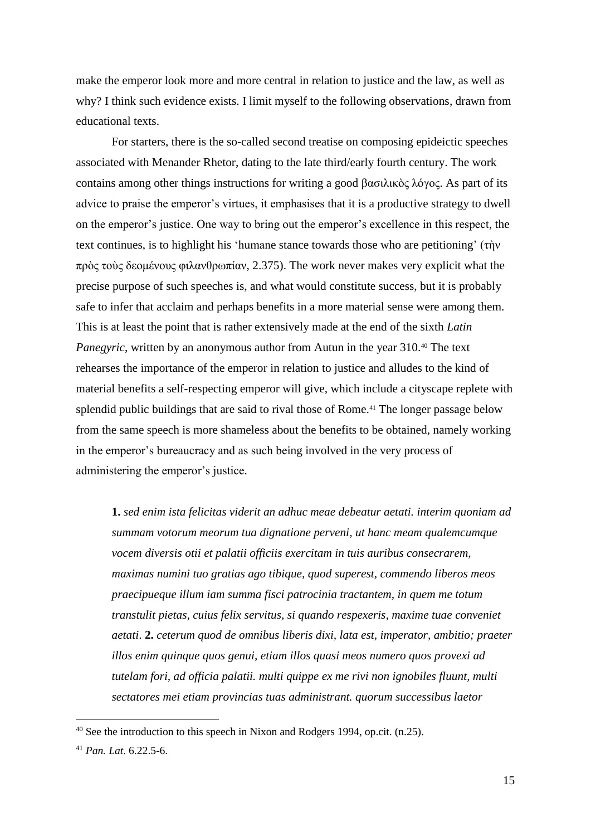make the emperor look more and more central in relation to justice and the law, as well as why? I think such evidence exists. I limit myself to the following observations, drawn from educational texts.

For starters, there is the so-called second treatise on composing epideictic speeches associated with Menander Rhetor, dating to the late third/early fourth century. The work contains among other things instructions for writing a good βασιλικὸς λόγος. As part of its advice to praise the emperor's virtues, it emphasises that it is a productive strategy to dwell on the emperor's justice. One way to bring out the emperor's excellence in this respect, the text continues, is to highlight his 'humane stance towards those who are petitioning' (τὴν πρὸς τοὺς δεομένους φιλανθρωπίαν, 2.375). The work never makes very explicit what the precise purpose of such speeches is, and what would constitute success, but it is probably safe to infer that acclaim and perhaps benefits in a more material sense were among them. This is at least the point that is rather extensively made at the end of the sixth *Latin Panegyric*, written by an anonymous author from Autun in the year 310.<sup>40</sup> The text rehearses the importance of the emperor in relation to justice and alludes to the kind of material benefits a self-respecting emperor will give, which include a cityscape replete with splendid public buildings that are said to rival those of Rome.<sup>41</sup> The longer passage below from the same speech is more shameless about the benefits to be obtained, namely working in the emperor's bureaucracy and as such being involved in the very process of administering the emperor's justice.

**1.** *sed enim ista felicitas viderit an adhuc meae debeatur aetati. interim quoniam ad summam votorum meorum tua dignatione perveni, ut hanc meam qualemcumque vocem diversis otii et palatii officiis exercitam in tuis auribus consecrarem, maximas numini tuo gratias ago tibique, quod superest, commendo liberos meos praecipueque illum iam summa fisci patrocinia tractantem, in quem me totum transtulit pietas, cuius felix servitus, si quando respexeris, maxime tuae conveniet aetati*. **2.** *ceterum quod de omnibus liberis dixi, lata est, imperator, ambitio; praeter illos enim quinque quos genui, etiam illos quasi meos numero quos provexi ad tutelam fori, ad officia palatii. multi quippe ex me rivi non ignobiles fluunt, multi sectatores mei etiam provincias tuas administrant. quorum successibus laetor* 

 $40$  See the introduction to this speech in Nixon and Rodgers 1994, op.cit. (n.25).

<sup>41</sup> *Pan. Lat.* 6.22.5-6.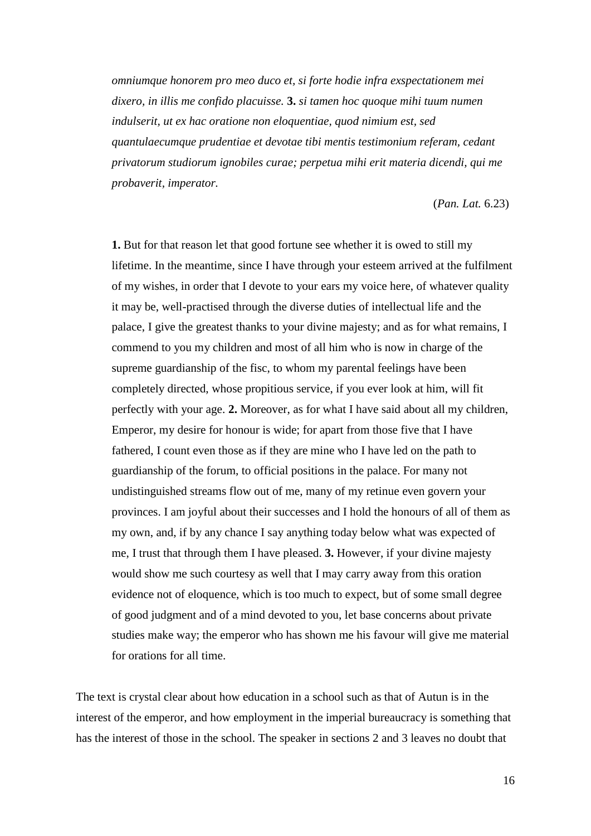*omniumque honorem pro meo duco et, si forte hodie infra exspectationem mei dixero, in illis me confido placuisse.* **3.** *si tamen hoc quoque mihi tuum numen indulserit, ut ex hac oratione non eloquentiae, quod nimium est, sed quantulaecumque prudentiae et devotae tibi mentis testimonium referam, cedant privatorum studiorum ignobiles curae; perpetua mihi erit materia dicendi, qui me probaverit, imperator.*

(*Pan. Lat.* 6.23)

**1.** But for that reason let that good fortune see whether it is owed to still my lifetime. In the meantime, since I have through your esteem arrived at the fulfilment of my wishes, in order that I devote to your ears my voice here, of whatever quality it may be, well-practised through the diverse duties of intellectual life and the palace, I give the greatest thanks to your divine majesty; and as for what remains, I commend to you my children and most of all him who is now in charge of the supreme guardianship of the fisc, to whom my parental feelings have been completely directed, whose propitious service, if you ever look at him, will fit perfectly with your age. **2.** Moreover, as for what I have said about all my children, Emperor, my desire for honour is wide; for apart from those five that I have fathered, I count even those as if they are mine who I have led on the path to guardianship of the forum, to official positions in the palace. For many not undistinguished streams flow out of me, many of my retinue even govern your provinces. I am joyful about their successes and I hold the honours of all of them as my own, and, if by any chance I say anything today below what was expected of me, I trust that through them I have pleased. **3.** However, if your divine majesty would show me such courtesy as well that I may carry away from this oration evidence not of eloquence, which is too much to expect, but of some small degree of good judgment and of a mind devoted to you, let base concerns about private studies make way; the emperor who has shown me his favour will give me material for orations for all time.

The text is crystal clear about how education in a school such as that of Autun is in the interest of the emperor, and how employment in the imperial bureaucracy is something that has the interest of those in the school. The speaker in sections 2 and 3 leaves no doubt that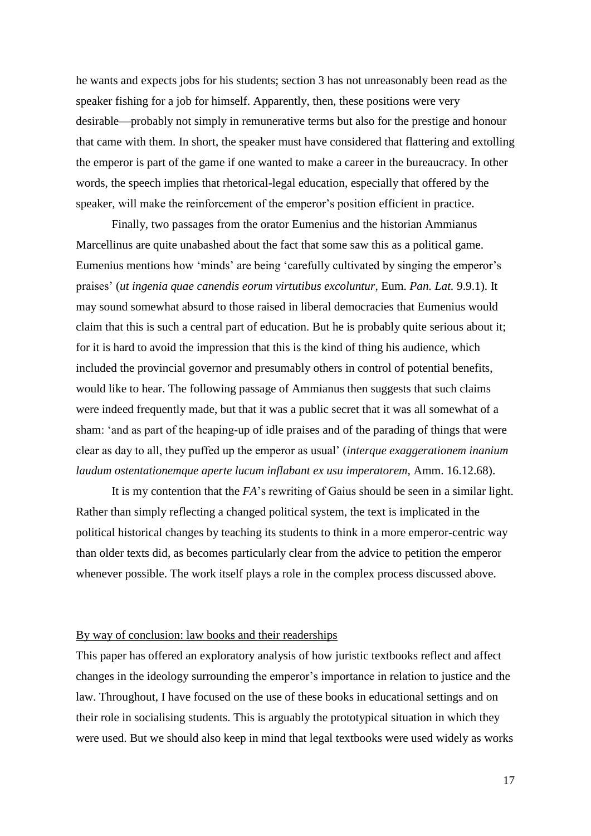he wants and expects jobs for his students; section 3 has not unreasonably been read as the speaker fishing for a job for himself. Apparently, then, these positions were very desirable—probably not simply in remunerative terms but also for the prestige and honour that came with them. In short, the speaker must have considered that flattering and extolling the emperor is part of the game if one wanted to make a career in the bureaucracy. In other words, the speech implies that rhetorical-legal education, especially that offered by the speaker, will make the reinforcement of the emperor's position efficient in practice.

Finally, two passages from the orator Eumenius and the historian Ammianus Marcellinus are quite unabashed about the fact that some saw this as a political game. Eumenius mentions how 'minds' are being 'carefully cultivated by singing the emperor's praises' (*ut ingenia quae canendis eorum virtutibus excoluntur*, Eum. *Pan. Lat.* 9.9.1). It may sound somewhat absurd to those raised in liberal democracies that Eumenius would claim that this is such a central part of education. But he is probably quite serious about it; for it is hard to avoid the impression that this is the kind of thing his audience, which included the provincial governor and presumably others in control of potential benefits, would like to hear. The following passage of Ammianus then suggests that such claims were indeed frequently made, but that it was a public secret that it was all somewhat of a sham: 'and as part of the heaping-up of idle praises and of the parading of things that were clear as day to all, they puffed up the emperor as usual' (*interque exaggerationem inanium laudum ostentationemque aperte lucum inflabant ex usu imperatorem,* Amm. 16.12.68).

It is my contention that the *FA*'s rewriting of Gaius should be seen in a similar light. Rather than simply reflecting a changed political system, the text is implicated in the political historical changes by teaching its students to think in a more emperor-centric way than older texts did, as becomes particularly clear from the advice to petition the emperor whenever possible. The work itself plays a role in the complex process discussed above.

### By way of conclusion: law books and their readerships

This paper has offered an exploratory analysis of how juristic textbooks reflect and affect changes in the ideology surrounding the emperor's importance in relation to justice and the law. Throughout, I have focused on the use of these books in educational settings and on their role in socialising students. This is arguably the prototypical situation in which they were used. But we should also keep in mind that legal textbooks were used widely as works